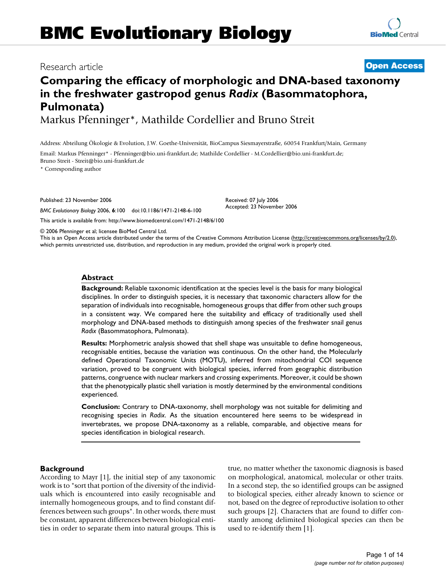# **BMC Evolutionary Biology**

## Research article **[Open Access](http://www.biomedcentral.com/info/about/charter/)**

## **Comparing the efficacy of morphologic and DNA-based taxonomy in the freshwater gastropod genus** *Radix* **(Basommatophora, Pulmonata)**

Markus Pfenninger\*, Mathilde Cordellier and Bruno Streit

Address: Abteilung Ökologie & Evolution, J.W. Goethe-Universität, BioCampus Siesmayerstraße, 60054 Frankfurt/Main, Germany

Email: Markus Pfenninger\* - Pfenninger@bio.uni-frankfurt.de; Mathilde Cordellier - M.Cordellier@bio.uni-frankfurt.de; Bruno Streit - Streit@bio.uni-frankfurt.de

\* Corresponding author

Published: 23 November 2006

*BMC Evolutionary Biology* 2006, **6**:100 doi:10.1186/1471-2148-6-100

[This article is available from: http://www.biomedcentral.com/1471-2148/6/100](http://www.biomedcentral.com/1471-2148/6/100)

© 2006 Pfenninger et al; licensee BioMed Central Ltd.

This is an Open Access article distributed under the terms of the Creative Commons Attribution License [\(http://creativecommons.org/licenses/by/2.0\)](http://creativecommons.org/licenses/by/2.0), which permits unrestricted use, distribution, and reproduction in any medium, provided the original work is properly cited.

## **Abstract**

**Background:** Reliable taxonomic identification at the species level is the basis for many biological disciplines. In order to distinguish species, it is necessary that taxonomic characters allow for the separation of individuals into recognisable, homogeneous groups that differ from other such groups in a consistent way. We compared here the suitability and efficacy of traditionally used shell morphology and DNA-based methods to distinguish among species of the freshwater snail genus *Radix* (Basommatophora, Pulmonata).

**Results:** Morphometric analysis showed that shell shape was unsuitable to define homogeneous, recognisable entities, because the variation was continuous. On the other hand, the Molecularly defined Operational Taxonomic Units (MOTU), inferred from mitochondrial COI sequence variation, proved to be congruent with biological species, inferred from geographic distribution patterns, congruence with nuclear markers and crossing experiments. Moreover, it could be shown that the phenotypically plastic shell variation is mostly determined by the environmental conditions experienced.

**Conclusion:** Contrary to DNA-taxonomy, shell morphology was not suitable for delimiting and recognising species in *Radix*. As the situation encountered here seems to be widespread in invertebrates, we propose DNA-taxonomy as a reliable, comparable, and objective means for species identification in biological research.

## **Background**

According to Mayr [1], the initial step of any taxonomic work is to "sort that portion of the diversity of the individuals which is encountered into easily recognisable and internally homogeneous groups, and to find constant differences between such groups". In other words, there must be constant, apparent differences between biological entities in order to separate them into natural groups. This is true, no matter whether the taxonomic diagnosis is based on morphological, anatomical, molecular or other traits. In a second step, the so identified groups can be assigned to biological species, either already known to science or not, based on the degree of reproductive isolation to other such groups [2]. Characters that are found to differ constantly among delimited biological species can then be used to re-identify them [1].



Received: 07 July 2006 Accepted: 23 November 2006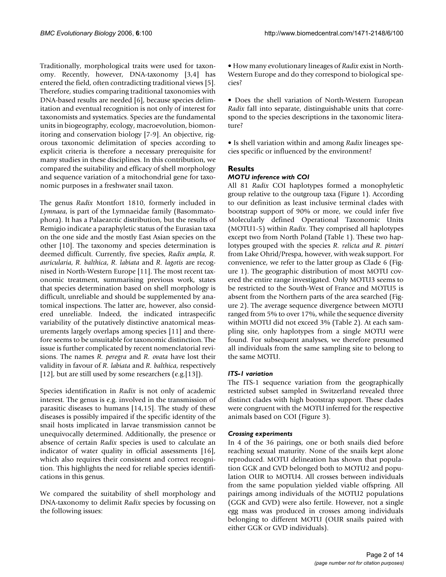Traditionally, morphological traits were used for taxonomy. Recently, however, DNA-taxonomy [3,4] has entered the field, often contradicting traditional views [5]. Therefore, studies comparing traditional taxonomies with DNA-based results are needed [6], because species delimitation and eventual recognition is not only of interest for taxonomists and systematics. Species are the fundamental units in biogeography, ecology, macroevolution, biomonitoring and conservation biology [7-9]. An objective, rigorous taxonomic delimitation of species according to explicit criteria is therefore a necessary prerequisite for many studies in these disciplines. In this contribution, we compared the suitability and efficacy of shell morphology and sequence variation of a mitochondrial gene for taxonomic purposes in a freshwater snail taxon.

The genus *Radix* Montfort 1810, formerly included in *Lymnaea*, is part of the Lymnaeidae family (Basommatophora). It has a Palaearctic distribution, but the results of Remigio indicate a paraphyletic status of the Eurasian taxa on the one side and the mostly East Asian species on the other [10]. The taxonomy and species determination is deemed difficult. Currently, five species, *Radix ampla*, *R. auricularia*, *R. balthica*, *R. labiata* and *R. lagotis* are recognised in North-Western Europe [11]. The most recent taxonomic treatment, summarising previous work, states that species determination based on shell morphology is difficult, unreliable and should be supplemented by anatomical inspections. The latter are, however, also considered unreliable. Indeed, the indicated intraspecific variability of the putatively distinctive anatomical measurements largely overlaps among species [11] and therefore seems to be unsuitable for taxonomic distinction. The issue is further complicated by recent nomenclatorial revisions. The names *R. peregra* and *R. ovata* have lost their validity in favour of *R. labiata* and *R. balthica*, respectively [12], but are still used by some researchers (e.g.[13]).

Species identification in *Radix* is not only of academic interest. The genus is e.g. involved in the transmission of parasitic diseases to humans [14,15]. The study of these diseases is possibly impaired if the specific identity of the snail hosts implicated in larvae transmission cannot be unequivocally determined. Additionally, the presence or absence of certain *Radix* species is used to calculate an indicator of water quality in official assessments [16], which also requires their consistent and correct recognition. This highlights the need for reliable species identifications in this genus.

We compared the suitability of shell morphology and DNA-taxonomy to delimit *Radix* species by focussing on the following issues:

• How many evolutionary lineages of *Radix* exist in North-Western Europe and do they correspond to biological species?

• Does the shell variation of North-Western European *Radix* fall into separate, distinguishable units that correspond to the species descriptions in the taxonomic literature?

• Is shell variation within and among *Radix* lineages species specific or influenced by the environment?

## **Results**

## *MOTU inference with COI*

All 81 *Radix* COI haplotypes formed a monophyletic group relative to the outgroup taxa (Figure 1). According to our definition as least inclusive terminal clades with bootstrap support of 90% or more, we could infer five Molecularly defined Operational Taxonomic Units (MOTU1-5) within *Radix*. They comprised all haplotypes except two from North Poland (Table 1). These two haplotypes grouped with the species *R. relicta and R. pinteri* from Lake Ohrid/Prespa, however, with weak support. For convenience, we refer to the latter group as Clade 6 (Figure 1). The geographic distribution of most MOTU covered the entire range investigated. Only MOTU3 seems to be restricted to the South-West of France and MOTU5 is absent from the Northern parts of the area searched (Figure 2). The average sequence divergence between MOTU ranged from 5% to over 17%, while the sequence diversity within MOTU did not exceed 3% (Table 2). At each sampling site, only haplotypes from a single MOTU were found. For subsequent analyses, we therefore presumed all individuals from the same sampling site to belong to the same MOTU.

## *ITS-1 variation*

The ITS-1 sequence variation from the geographically restricted subset sampled in Switzerland revealed three distinct clades with high bootstrap support. These clades were congruent with the MOTU inferred for the respective animals based on COI (Figure 3).

## *Crossing experiments*

In 4 of the 36 pairings, one or both snails died before reaching sexual maturity. None of the snails kept alone reproduced. MOTU delineation has shown that population GGK and GVD belonged both to MOTU2 and population OUR to MOTU4. All crosses between individuals from the same population yielded viable offspring. All pairings among individuals of the MOTU2 populations (GGK and GVD) were also fertile. However, not a single egg mass was produced in crosses among individuals belonging to different MOTU (OUR snails paired with either GGK or GVD individuals).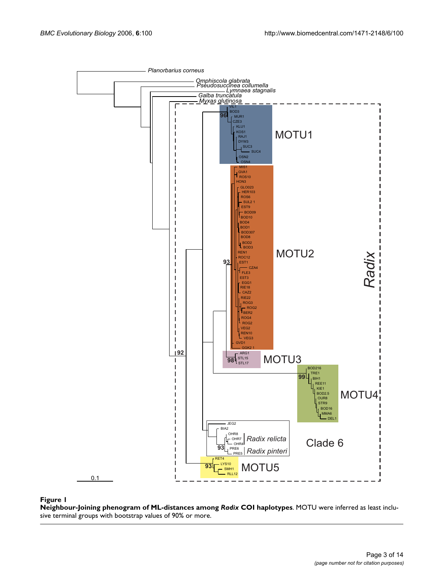

**Neighbour-Joining phenogram of ML-distances among** *Radix* **COI haplotypes**. MOTU were inferred as least inclusive terminal groups with bootstrap values of 90% or more.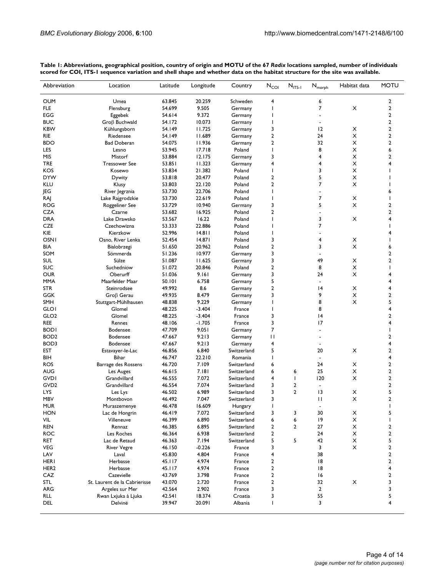| Abbreviation     | Location                      | Latitude | Longitude | Country     | $N_{COI}$                     | $N_{ITS-I}$    | $N_{\text{morph}}$       | Habitat data | <b>MOTU</b>    |
|------------------|-------------------------------|----------|-----------|-------------|-------------------------------|----------------|--------------------------|--------------|----------------|
| OUM              | Umea                          | 63.845   | 20.259    | Schweden    | 4                             |                | 6                        |              | $\mathbf{2}$   |
| <b>FLE</b>       | Flensburg                     | 54.699   | 9.505     | Germany     | $\mathbf{I}$                  |                | 7                        | X            | $\mathbf{2}$   |
| EGG              | Eggebek                       | 54.614   | 9.372     | Germany     | J.                            |                |                          |              | $\mathbf{2}$   |
| <b>BUC</b>       | Groß Buchwald                 | 54.172   | 10.073    | Germany     | <sup>1</sup>                  |                |                          |              | $\mathbf{2}$   |
| <b>KBW</b>       | Kühlungsborn                  | 54.149   | 11.725    | Germany     | 3                             |                | 12                       | X            | $\mathbf{2}$   |
| <b>RIE</b>       | Riedensee                     | 54.149   | 11.689    | Germany     | 2                             |                | 24                       | X            | $\overline{2}$ |
| <b>BDO</b>       | <b>Bad Doberan</b>            | 54.075   | 11.936    | Germany     | 2                             |                | 32                       | X            | $\mathbf{2}$   |
| LES              | Lesno                         | 53.945   | 17.718    | Poland      | $\overline{\phantom{a}}$      |                | 8                        | X            | 6              |
| MIS              | Mistorf                       | 53.884   | 12.175    | Germany     | 3                             |                | 4                        | X            | $\mathbf{2}$   |
| <b>TRE</b>       | <b>Tressower See</b>          | 53.851   | 11.323    | Germany     | 4                             |                | 4                        | X            | 4              |
| KOS              | Kosewo                        | 53.834   | 21.382    | Poland      | H                             |                | 3                        | X            |                |
| <b>DYW</b>       | Dywity                        | 53.818   | 20.477    | Poland      | 2                             |                | 5                        | X            |                |
| <b>KLU</b>       | Klusy                         | 53.803   | 22.120    | Poland      | $\overline{2}$                |                | 7                        | X            |                |
| JEG              | River Jegrznia                | 53.730   | 22.706    | Poland      | $\overline{\phantom{a}}$      |                |                          |              | 6              |
| RAJ              | Lake Rajgrodzkie              | 53.730   | 22.619    | Poland      | <sup>1</sup>                  |                | 7                        | X            |                |
| <b>ROG</b>       | Roggeliner See                | 53.729   | 10.940    | Germany     | 3                             |                | 5                        | X            | 2              |
| <b>CZA</b>       | Czarne                        | 53.682   | 16.925    | Poland      | $\mathbf{2}$                  |                |                          |              | $\overline{2}$ |
| <b>DRA</b>       | Lake Drawsko                  | 53.567   | 16.22     | Poland      | H                             |                | 3                        | X            | 4              |
| <b>CZE</b>       | Czechowizna                   | 53.333   | 22.886    | Poland      | H                             |                | 7                        |              |                |
| KIE              | Kierzkow                      | 52.996   | 14.811    | Poland      |                               |                |                          |              | 4              |
| OSNI             | Osno, River Lenka             | 52.454   | 14.871    | Poland      | 3                             |                | 4                        | X            |                |
| <b>BIA</b>       | Bialobrzegi                   | 51.650   | 20.962    | Poland      | $\mathbf{2}$                  |                | 3                        | X            | 6              |
| SOM              | Sömmerda                      | 51.236   | 10.977    | Germany     | 3                             |                |                          |              | $\mathbf{2}$   |
|                  |                               |          |           |             | 3                             |                |                          |              | $\mathbf{2}$   |
| SUL              | Sülze                         | 51.087   | 11.625    | Germany     | $\mathbf{2}$                  |                | 49<br>8                  | X<br>X       | I              |
| <b>SUC</b>       | Suchedniow<br>Oberurff        | 51.072   | 20.846    | Poland      | 3                             |                | 24                       | X            |                |
| <b>OUR</b>       |                               | 51.036   | 9.161     | Germany     |                               |                |                          |              | 4              |
| <b>MMA</b>       | Maarfelder Maar               | 50.101   | 6.758     | Germany     | 5                             |                | $\blacksquare$           |              | 4              |
| <b>STR</b>       | Steinrodsee                   | 49.992   | 8.6       | Germany     | $\mathbf{2}$                  |                | 4<br>9                   | X            | 4              |
| GGK              | Groß Gerau                    | 49.935   | 8.479     | Germany     | 3                             |                |                          | X            | $\mathbf{2}$   |
| SMH              | Stuttgart-Mühlhausen          | 48.838   | 9.229     | Germany     | H<br>$\overline{\phantom{a}}$ |                | 8                        | X            | 5              |
| <b>GLO1</b>      | Glomel                        | 48.225   | $-3.404$  | France      |                               |                | 8                        |              | 4              |
| GLO <sub>2</sub> | Glomel                        | 48.225   | $-3.404$  | France      | 3                             |                | 4                        |              | $\mathbf{2}$   |
| <b>REE</b>       | Rennes                        | 48.106   | $-1.705$  | France      | 3                             |                | 17                       |              | 4              |
| <b>BODI</b>      | <b>Bodensee</b>               | 47.709   | 9.051     | Germany     | 7                             |                |                          |              | H              |
| BOD <sub>2</sub> | <b>Bodensee</b>               | 47.667   | 9.213     | Germany     | П                             |                |                          |              | $\mathbf{2}$   |
| BOD3             | <b>Bodensee</b>               | 47.667   | 9.213     | Germany     | 4                             |                | $\blacksquare$           |              | 4              |
| EST              | Estavayer-le-Lac              | 46.856   | 6.840     | Switzerland | 5                             |                | 20                       | X            | $\overline{2}$ |
| BIH              | Bihar                         | 46.747   | 22.210    | Romania     |                               |                | $\overline{\phantom{a}}$ |              | $\overline{4}$ |
| <b>ROS</b>       | Barrage des Rossens           | 46.720   | 7.109     | Switzerland | 6                             |                | 24                       | X            | $\mathbf{2}$   |
| AUG              | Les Auges                     | 46.615   | 7.181     | Switzerland | 6                             | 6              | 25                       | X            | $\mathbf{2}$   |
| <b>GVDI</b>      | Grandvillard                  | 46.555   | 7.072     | Switzerland | 4                             | T              | 120                      | X            | $\mathbf{2}$   |
| GVD <sub>2</sub> | Grandvillard                  | 46.554   | 7.074     | Switzerland | 3                             | 2              | $\blacksquare$           |              | $\mathbf{2}$   |
| <b>LYS</b>       | Les Lys                       | 46.502   | 6.989     | Switzerland | 3                             | $\overline{2}$ | 3                        | X            | 5              |
| <b>MBV</b>       | Montbovon                     | 46.492   | 7.047     | Switzerland | 3                             |                | П                        | X            | $\overline{2}$ |
| <b>MUR</b>       | Muraszemenye                  | 46.478   | 16.609    | Hungary     | J.                            |                | $\overline{\phantom{a}}$ |              |                |
| <b>HON</b>       | Lac de Hongrin                | 46.419   | 7.072     | Switzerland | 3                             | 3              | 30                       | X            | 5              |
| <b>VIL</b>       | Villeneuve                    | 46.399   | 6.890     | Switzerland | 6                             | 6              | 19                       | X            |                |
| <b>REN</b>       | Rennaz                        | 46.385   | 6.895     | Switzerland | 2                             | $\overline{2}$ | 27                       | X            | 2              |
| <b>ROC</b>       | Les Roches                    | 46.364   | 6.938     | Switzerland | 2                             |                | 24                       | X            | $\mathbf{2}$   |
| RET              | Lac de Retaud                 | 46.363   | 7.194     | Switzerland | 5                             | 5              | 42                       | X            | 5              |
| <b>VEG</b>       | <b>River Vegre</b>            | 46.150   | $-0.226$  | France      | 3                             |                | 3                        | X            | $\mathbf{2}$   |
| LAV              | Laval                         | 45.830   | 4.804     | France      | 4                             |                | 38                       |              | $\mathbf{2}$   |
| <b>HERI</b>      | Herbasse                      | 45.117   | 4.974     | France      | 2                             |                | 18                       |              | $\mathbf{2}$   |
| HER <sub>2</sub> | Herbasse                      | 45.117   | 4.974     | France      | 2                             |                | 18                       |              | $\overline{4}$ |
| CAZ              | Cazevielle                    | 43.769   | 3.798     | France      | $\mathbf{2}$                  |                | 16                       |              | 2              |
| STL              | St. Laurent de la Cabrierisse | 43.070   | 2.720     | France      | 2                             |                | 32                       | X            | 3              |
| ARG              | Argeles sur Mer               | 42.564   | 2.902     | France      | 3                             |                | $\overline{2}$           |              | 3              |
| RLL              | Rwan Lxjuka à Ljuka           | 42.541   | 18.374    | Croatia     | 3                             |                | 55                       |              | 5              |
| <b>DEL</b>       | Delvinë                       | 39.947   | 20.091    | Albania     | ı                             |                | 3                        |              | 4              |

**Table 1: Abbreviations, geographical position, country of origin and MOTU of the 67** *Radix* **locations sampled, number of individuals scored for COI, ITS-1 sequence variation and shell shape and whether data on the habitat structure for the site was available.**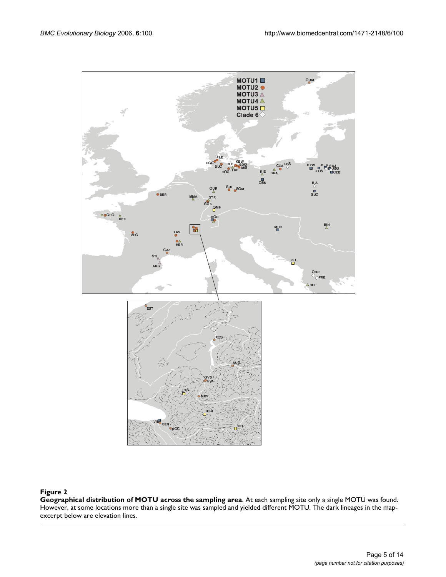

**Geographical distribution of MOTU across the sampling area**. At each sampling site only a single MOTU was found. However, at some locations more than a single site was sampled and yielded different MOTU. The dark lineages in the mapexcerpt below are elevation lines.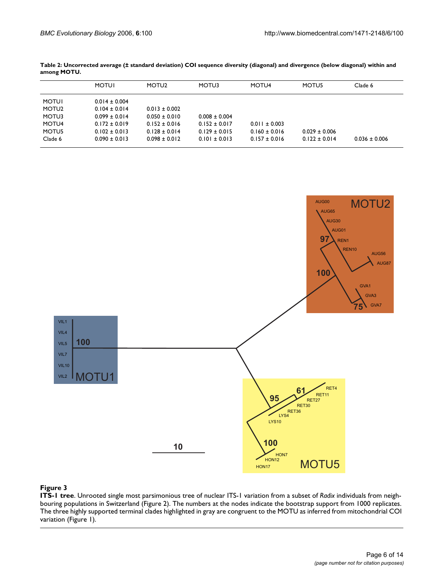|                   | <b>MOTUI</b>      | MOTU <sub>2</sub> | MOTU3             | MOTU4             | MOTU5             | Clade 6           |
|-------------------|-------------------|-------------------|-------------------|-------------------|-------------------|-------------------|
| <b>MOTUI</b>      | $0.014 \pm 0.004$ |                   |                   |                   |                   |                   |
| MOTU <sub>2</sub> | $0.104 \pm 0.014$ | $0.013 \pm 0.002$ |                   |                   |                   |                   |
| MOTU3             | $0.099 \pm 0.014$ | $0.050 \pm 0.010$ | $0.008 \pm 0.004$ |                   |                   |                   |
| MOTU4             | $0.172 \pm 0.019$ | $0.152 \pm 0.016$ | $0.152 \pm 0.017$ | $0.011 \pm 0.003$ |                   |                   |
| MOTU5             | $0.102 \pm 0.013$ | $0.128 \pm 0.014$ | $0.129 \pm 0.015$ | $0.160 \pm 0.016$ | $0.029 \pm 0.006$ |                   |
| Clade 6           | $0.090 \pm 0.013$ | $0.098 \pm 0.012$ | $0.101 + 0.013$   | $0.157 \pm 0.016$ | $0.122 + 0.014$   | $0.036 \pm 0.006$ |

**Table 2: Uncorrected average (± standard deviation) COI sequence diversity (diagonal) and divergence (below diagonal) within and among MOTU.**



**ITS-1 tree**. Unrooted single most parsimonious tree of nuclear ITS-1 variation from a subset of *Radix* individuals from neighbouring populations in Switzerland (Figure 2). The numbers at the nodes indicate the bootstrap support from 1000 replicates. The three highly supported terminal clades highlighted in gray are congruent to the MOTU as inferred from mitochondrial COI variation (Figure 1).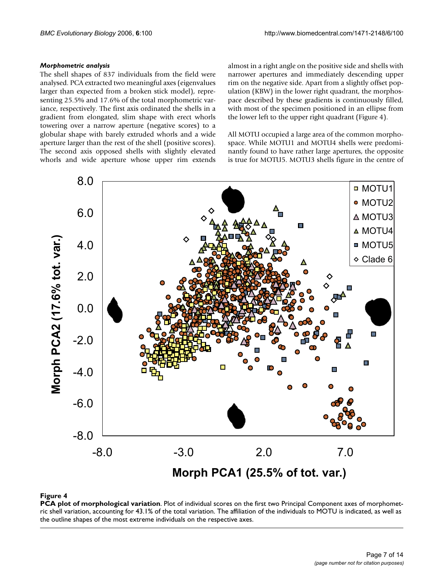## *Morphometric analysis*

The shell shapes of 837 individuals from the field were analysed. PCA extracted two meaningful axes (eigenvalues larger than expected from a broken stick model), representing 25.5% and 17.6% of the total morphometric variance, respectively. The first axis ordinated the shells in a gradient from elongated, slim shape with erect whorls towering over a narrow aperture (negative scores) to a globular shape with barely extruded whorls and a wide aperture larger than the rest of the shell (positive scores). The second axis opposed shells with slightly elevated whorls and wide aperture whose upper rim extends almost in a right angle on the positive side and shells with narrower apertures and immediately descending upper rim on the negative side. Apart from a slightly offset population (KBW) in the lower right quadrant, the morphospace described by these gradients is continuously filled, with most of the specimen positioned in an ellipse from the lower left to the upper right quadrant (Figure 4).

All MOTU occupied a large area of the common morphospace. While MOTU1 and MOTU4 shells were predominantly found to have rather large apertures, the opposite is true for MOTU5. MOTU3 shells figure in the centre of



## **Figure 4**

**PCA plot of morphological variation**. Plot of individual scores on the first two Principal Component axes of morphometric shell variation, accounting for 43.1% of the total variation. The affiliation of the individuals to MOTU is indicated, as well as the outline shapes of the most extreme individuals on the respective axes.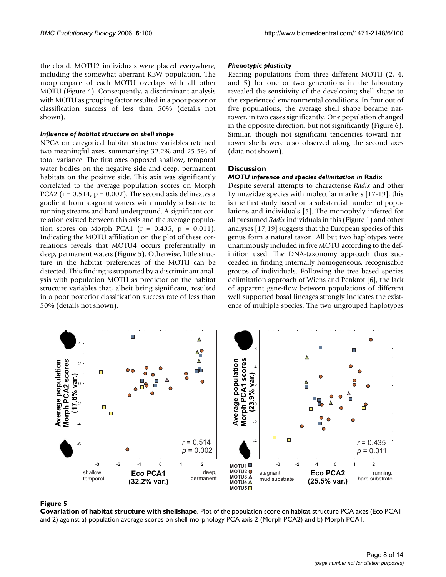the cloud. MOTU2 individuals were placed everywhere, including the somewhat aberrant KBW population. The morphospace of each MOTU overlaps with all other MOTU (Figure 4). Consequently, a discriminant analysis with MOTU as grouping factor resulted in a poor posterior classification success of less than 50% (details not shown).

## *Influence of habitat structure on shell shape*

NPCA on categorical habitat structure variables retained two meaningful axes, summarising 32.2% and 25.5% of total variance. The first axes opposed shallow, temporal water bodies on the negative side and deep, permanent habitats on the positive side. This axis was significantly correlated to the average population scores on Morph PCA2 ( $r = 0.514$ ,  $p = 0.002$ ). The second axis delineates a gradient from stagnant waters with muddy substrate to running streams and hard underground. A significant correlation existed between this axis and the average population scores on Morph PCA1 ( $r = 0.435$ ,  $p = 0.011$ ). Indicating the MOTU affiliation on the plot of these correlations reveals that MOTU4 occurs preferentially in deep, permanent waters (Figure 5). Otherwise, little structure in the habitat preferences of the MOTU can be detected. This finding is supported by a discriminant analysis with population MOTU as predictor on the habitat structure variables that, albeit being significant, resulted in a poor posterior classification success rate of less than 50% (details not shown).

## *Phenotypic plasticity*

Rearing populations from three different MOTU (2, 4, and 5) for one or two generations in the laboratory revealed the sensitivity of the developing shell shape to the experienced environmental conditions. In four out of five populations, the average shell shape became narrower, in two cases significantly. One population changed in the opposite direction, but not significantly (Figure 6). Similar, though not significant tendencies toward narrower shells were also observed along the second axes (data not shown).

## **Discussion**

## *MOTU inference and species delimitation in* **Radix**

Despite several attempts to characterise *Radix* and other Lymnaeidae species with molecular markers [17-19], this is the first study based on a substantial number of populations and individuals [5]. The monophyly inferred for all presumed *Radix* individuals in this (Figure 1) and other analyses [17,19] suggests that the European species of this genus form a natural taxon. All but two haplotypes were unanimously included in five MOTU according to the definition used. The DNA-taxonomy approach thus succeeded in finding internally homogeneous, recognisable groups of individuals. Following the tree based species delimitation approach of Wiens and Penkrot [6], the lack of apparent gene-flow between populations of different well supported basal lineages strongly indicates the existence of multiple species. The two ungrouped haplotypes



### Figure 5

**Covariation of habitat structure with shellshape**. Plot of the population score on habitat structure PCA axes (Eco PCA1 and 2) against a) population average scores on shell morphology PCA axis 2 (Morph PCA2) and b) Morph PCA1.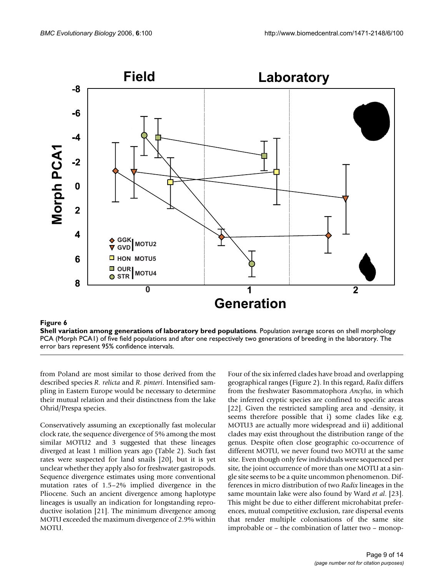

**Shell variation among generations of laboratory bred populations**. Population average scores on shell morphology PCA (Morph PCA1) of five field populations and after one respectively two generations of breeding in the laboratory. The error bars represent 95% confidence intervals.

from Poland are most similar to those derived from the described species *R. relicta* and *R. pinteri*. Intensified sampling in Eastern Europe would be necessary to determine their mutual relation and their distinctness from the lake Ohrid/Prespa species.

Conservatively assuming an exceptionally fast molecular clock rate, the sequence divergence of 5% among the most similar MOTU2 and 3 suggested that these lineages diverged at least 1 million years ago (Table 2). Such fast rates were suspected for land snails [20], but it is yet unclear whether they apply also for freshwater gastropods. Sequence divergence estimates using more conventional mutation rates of 1.5–2% implied divergence in the Pliocene. Such an ancient divergence among haplotype lineages is usually an indication for longstanding reproductive isolation [21]. The minimum divergence among MOTU exceeded the maximum divergence of 2.9% within MOTU.

Four of the six inferred clades have broad and overlapping geographical ranges (Figure 2). In this regard, *Radix* differs from the freshwater Basommatophora *Ancylus*, in which the inferred cryptic species are confined to specific areas [22]. Given the restricted sampling area and -density, it seems therefore possible that i) some clades like e.g. MOTU3 are actually more widespread and ii) additional clades may exist throughout the distribution range of the genus. Despite often close geographic co-occurrence of different MOTU, we never found two MOTU at the same site. Even though only few individuals were sequenced per site, the joint occurrence of more than one MOTU at a single site seems to be a quite uncommon phenomenon. Differences in micro distribution of two *Radix* lineages in the same mountain lake were also found by Ward *et al*. [23]. This might be due to either different microhabitat preferences, mutual competitive exclusion, rare dispersal events that render multiple colonisations of the same site improbable or – the combination of latter two – monop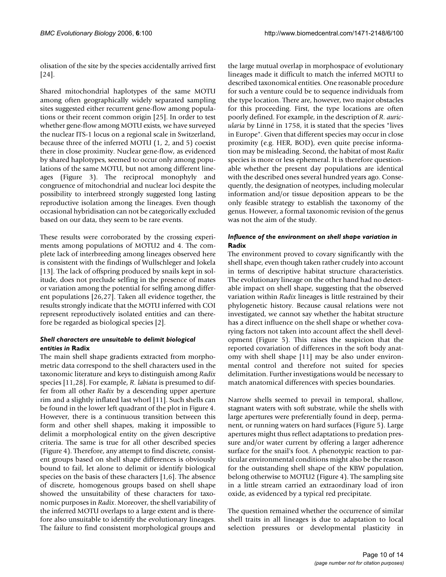olisation of the site by the species accidentally arrived first [24].

Shared mitochondrial haplotypes of the same MOTU among often geographically widely separated sampling sites suggested either recurrent gene-flow among populations or their recent common origin [25]. In order to test whether gene-flow among MOTU exists, we have surveyed the nuclear ITS-1 locus on a regional scale in Switzerland, because three of the inferred MOTU (1, 2, and 5) coexist there in close proximity. Nuclear gene-flow, as evidenced by shared haplotypes, seemed to occur only among populations of the same MOTU, but not among different lineages (Figure 3). The reciprocal monophyly and congruence of mitochondrial and nuclear loci despite the possibility to interbreed strongly suggested long lasting reproductive isolation among the lineages. Even though occasional hybridisation can not be categorically excluded based on our data, they seem to be rare events.

These results were corroborated by the crossing experiments among populations of MOTU2 and 4. The complete lack of interbreeding among lineages observed here is consistent with the findings of Wullschleger and Jokela [13]. The lack of offspring produced by snails kept in solitude, does not preclude selfing in the presence of mates or variation among the potential for selfing among different populations [26,27]. Taken all evidence together, the results strongly indicate that the MOTU inferred with COI represent reproductively isolated entities and can therefore be regarded as biological species [2].

## *Shell characters are unsuitable to delimit biological entities in* **Radix**

The main shell shape gradients extracted from morphometric data correspond to the shell characters used in the taxonomic literature and keys to distinguish among *Radix* species [11,28]. For example, *R. labiata* is presumed to differ from all other *Radix* by a descending upper aperture rim and a slightly inflated last whorl [11]. Such shells can be found in the lower left quadrant of the plot in Figure 4. However, there is a continuous transition between this form and other shell shapes, making it impossible to delimit a morphological entity on the given descriptive criteria. The same is true for all other described species (Figure 4). Therefore, any attempt to find discrete, consistent groups based on shell shape differences is obviously bound to fail, let alone to delimit or identify biological species on the basis of these characters [1,6]. The absence of discrete, homogenous groups based on shell shape showed the unsuitability of these characters for taxonomic purposes in *Radix*. Moreover, the shell variability of the inferred MOTU overlaps to a large extent and is therefore also unsuitable to identify the evolutionary lineages. The failure to find consistent morphological groups and

the large mutual overlap in morphospace of evolutionary lineages made it difficult to match the inferred MOTU to described taxonomical entities. One reasonable procedure for such a venture could be to sequence individuals from the type location. There are, however, two major obstacles for this proceeding. First, the type locations are often poorly defined. For example, in the description of *R. auricularia* by Linné in 1758, it is stated that the species "lives in Europe". Given that different species may occur in close proximity (e.g. HER, BOD), even quite precise information may be misleading. Second, the habitat of most *Radix* species is more or less ephemeral. It is therefore questionable whether the present day populations are identical with the described ones several hundred years ago. Consequently, the designation of neotypes, including molecular information and/or tissue deposition appears to be the only feasible strategy to establish the taxonomy of the genus. However, a formal taxonomic revision of the genus was not the aim of the study.

## *Influence of the environment on shell shape variation in*  **Radix**

The environment proved to covary significantly with the shell shape, even though taken rather crudely into account in terms of descriptive habitat structure characteristics. The evolutionary lineage on the other hand had no detectable impact on shell shape, suggesting that the observed variation within *Radix* lineages is little restrained by their phylogenetic history. Because causal relations were not investigated, we cannot say whether the habitat structure has a direct influence on the shell shape or whether covarying factors not taken into account affect the shell development (Figure 5). This raises the suspicion that the reported covariation of differences in the soft body anatomy with shell shape [11] may be also under environmental control and therefore not suited for species delimitation. Further investigations would be necessary to match anatomical differences with species boundaries.

Narrow shells seemed to prevail in temporal, shallow, stagnant waters with soft substrate, while the shells with large apertures were preferentially found in deep, permanent, or running waters on hard surfaces (Figure 5). Large apertures might thus reflect adaptations to predation pressure and/or water current by offering a larger adherence surface for the snail's foot. A phenotypic reaction to particular environmental conditions might also be the reason for the outstanding shell shape of the KBW population, belong otherwise to MOTU2 (Figure 4). The sampling site in a little stream carried an extraordinary load of iron oxide, as evidenced by a typical red precipitate.

The question remained whether the occurrence of similar shell traits in all lineages is due to adaptation to local selection pressures or developmental plasticity in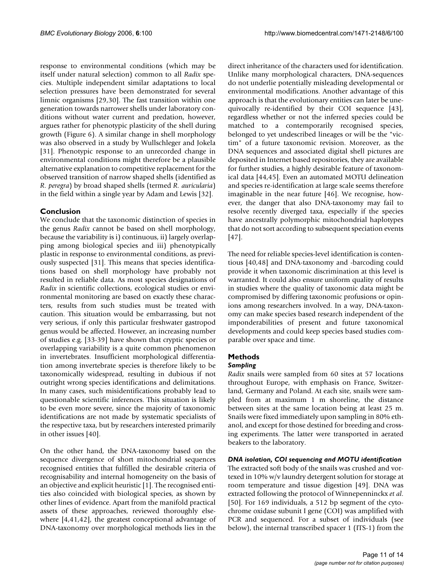response to environmental conditions (which may be itself under natural selection) common to all *Radix* species. Multiple independent similar adaptations to local selection pressures have been demonstrated for several limnic organisms [29,30]. The fast transition within one generation towards narrower shells under laboratory conditions without water current and predation, however, argues rather for phenotypic plasticity of the shell during growth (Figure 6). A similar change in shell morphology was also observed in a study by Wullschleger and Jokela [31]. Phenotypic response to an unrecorded change in environmental conditions might therefore be a plausible alternative explanation to competitive replacement for the observed transition of narrow shaped shells (identified as *R. peregra*) by broad shaped shells (termed *R. auricularia*) in the field within a single year by Adam and Lewis [32].

## **Conclusion**

We conclude that the taxonomic distinction of species in the genus *Radix* cannot be based on shell morphology, because the variability is i) continuous, ii) largely overlapping among biological species and iii) phenotypically plastic in response to environmental conditions, as previously suspected [31]. This means that species identifications based on shell morphology have probably not resulted in reliable data. As most species designations of *Radix* in scientific collections, ecological studies or environmental monitoring are based on exactly these characters, results from such studies must be treated with caution. This situation would be embarrassing, but not very serious, if only this particular freshwater gastropod genus would be affected. However, an increasing number of studies e.g. [33-39] have shown that cryptic species or overlapping variability is a quite common phenomenon in invertebrates. Insufficient morphological differentiation among invertebrate species is therefore likely to be taxonomically widespread, resulting in dubious if not outright wrong species identifications and delimitations. In many cases, such misidentifications probably lead to questionable scientific inferences. This situation is likely to be even more severe, since the majority of taxonomic identifications are not made by systematic specialists of the respective taxa, but by researchers interested primarily in other issues [40].

On the other hand, the DNA-taxonomy based on the sequence divergence of short mitochondrial sequences recognised entities that fulfilled the desirable criteria of recognisability and internal homogeneity on the basis of an objective and explicit heuristic [1]. The recognised entities also coincided with biological species, as shown by other lines of evidence. Apart from the manifold practical assets of these approaches, reviewed thoroughly elsewhere [4,41,42], the greatest conceptional advantage of DNA-taxonomy over morphological methods lies in the direct inheritance of the characters used for identification. Unlike many morphological characters, DNA-sequences do not underlie potentially misleading developmental or environmental modifications. Another advantage of this approach is that the evolutionary entities can later be unequivocally re-identified by their COI sequence [43], regardless whether or not the inferred species could be matched to a contemporarily recognised species, belonged to yet undescribed lineages or will be the "victim" of a future taxonomic revision. Moreover, as the DNA sequences and associated digital shell pictures are deposited in Internet based repositories, they are available for further studies, a highly desirable feature of taxonomical data [44,45]. Even an automated MOTU delineation and species re-identification at large scale seems therefore imaginable in the near future [46]. We recognise, however, the danger that also DNA-taxonomy may fail to resolve recently diverged taxa, especially if the species have ancestrally polymorphic mitochondrial haplotypes that do not sort according to subsequent speciation events [47].

The need for reliable species-level identification is contentious [40,48] and DNA-taxonomy and -barcoding could provide it when taxonomic discrimination at this level is warranted. It could also ensure uniform quality of results in studies where the quality of taxonomic data might be compromised by differing taxonomic profusions or opinions among researchers involved. In a way, DNA-taxonomy can make species based research independent of the imponderabilities of present and future taxonomical developments and could keep species based studies comparable over space and time.

## **Methods**

## *Sampling*

*Radix* snails were sampled from 60 sites at 57 locations throughout Europe, with emphasis on France, Switzerland, Germany and Poland. At each site, snails were sampled from at maximum 1 m shoreline, the distance between sites at the same location being at least 25 m. Snails were fixed immediately upon sampling in 80% ethanol, and except for those destined for breeding and crossing experiments. The latter were transported in aerated beakers to the laboratory.

## *DNA isolation, COI sequencing and MOTU identification*

The extracted soft body of the snails was crushed and vortexed in 10% w/v laundry detergent solution for storage at room temperature and tissue digestion [49]. DNA was extracted following the protocol of Winnepenninckx *et al*. [50]. For 169 individuals, a 512 bp segment of the cytochrome oxidase subunit I gene (COI) was amplified with PCR and sequenced. For a subset of individuals (see below), the internal transcribed spacer 1 (ITS-1) from the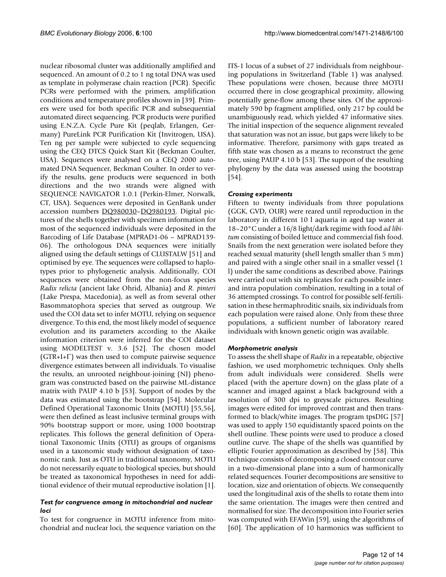nuclear ribosomal cluster was additionally amplified and sequenced. An amount of 0.2 to 1 ng total DNA was used as template in polymerase chain reaction (PCR). Specific PCRs were performed with the primers, amplification conditions and temperature profiles shown in [39]. Primers were used for both specific PCR and subsequential automated direct sequencing. PCR products were purified using E.N.Z.A. Cycle Pure Kit (peqlab, Erlangen, Germany) PureLink PCR Purification Kit (Invitrogen, USA). Ten ng per sample were subjected to cycle sequencing using the CEQ DTCS Quick Start Kit (Beckman Coulter, USA). Sequences were analysed on a CEQ 2000 automated DNA Sequencer, Beckman Coulter. In order to verify the results, gene products were sequenced in both directions and the two strands were aligned with SEQUENCE NAVIGATOR 1.0.1 (Perkin-Elmer, Norwalk, CT, USA). Sequences were deposited in GenBank under accession numbers [DQ980030](http://www.ncbi.nih.gov/entrez/query.fcgi?db=Nucleotide&cmd=search&term=DQ980030)[–DQ980193](http://www.ncbi.nih.gov/entrez/query.fcgi?db=Nucleotide&cmd=search&term=DQ980193). Digital pictures of the shells together with specimen information for most of the sequenced individuals were deposited in the Barcoding of Life Database (MPRAD1-06 – MPRAD139- 06). The orthologous DNA sequences were initially aligned using the default settings of CLUSTALW [51] and optimised by eye. The sequences were collapsed to haplotypes prior to phylogenetic analysis. Additionally, COI sequences were obtained from the non-focus species *Radix relicta* (ancient lake Ohrid, Albania) and *R. pinteri* (Lake Prespa, Macedonia), as well as from several other Basommatophora species that served as outgroup. We used the COI data set to infer MOTU, relying on sequence divergence. To this end, the most likely model of sequence evolution and its parameters according to the Akaike information criterion were inferred for the COI dataset using MODELTEST v. 3.6 [52]. The chosen model (GTR+I+Γ) was then used to compute pairwise sequence divergence estimates between all individuals. To visualise the results, an unrooted neighbour-joining (NJ) phenogram was constructed based on the pairwise ML-distance matrix with PAUP 4.10 b [53]. Support of nodes by the data was estimated using the bootstrap [54]. Molecular Defined Operational Taxonomic Units (MOTU) [55,56], were then defined as least inclusive terminal groups with 90% bootstrap support or more, using 1000 bootstrap replicates. This follows the general definition of Operational Taxonomic Units (OTU) as groups of organisms used in a taxonomic study without designation of taxonomic rank. Just as OTU in traditional taxonomy, MOTU do not necessarily equate to biological species, but should be treated as taxonomical hypotheses in need for additional evidence of their mutual reproductive isolation [1].

## *Test for congruence among in mitochondrial and nuclear loci*

To test for congruence in MOTU inference from mitochondrial and nuclear loci, the sequence variation on the ITS-1 locus of a subset of 27 individuals from neighbouring populations in Switzerland (Table 1) was analysed. These populations were chosen, because three MOTU occurred there in close geographical proximity, allowing potentially gene-flow among these sites. Of the approximately 590 bp fragment amplified, only 217 bp could be unambiguously read, which yielded 47 informative sites. The initial inspection of the sequence alignment revealed that saturation was not an issue, but gaps were likely to be informative. Therefore, parsimony with gaps treated as fifth state was chosen as a means to reconstruct the gene tree, using PAUP 4.10 b [53]. The support of the resulting phylogeny by the data was assessed using the bootstrap [54].

## *Crossing experiments*

Fifteen to twenty individuals from three populations (GGK, GVD, OUR) were reared until reproduction in the laboratory in different 10 l aquaria in aged tap water at 18–20°C under a 16/8 light/dark regime with food *ad libitum* consisting of boiled lettuce and commercial fish food. Snails from the next generation were isolated before they reached sexual maturity (shell length smaller than 5 mm) and paired with a single other snail in a smaller vessel (1 l) under the same conditions as described above. Pairings were carried out with six replicates for each possible interand intra population combination, resulting in a total of 36 attempted crossings. To control for possible self-fertilisation in these hermaphroditic snails, six individuals from each population were raised alone. Only from these three populations, a sufficient number of laboratory reared individuals with known genetic origin was available.

## *Morphometric analysis*

To assess the shell shape of *Radix* in a repeatable, objective fashion, we used morphometric techniques. Only shells from adult individuals were considered. Shells were placed (with the aperture down) on the glass plate of a scanner and imaged against a black background with a resolution of 300 dpi to greyscale pictures. Resulting images were edited for improved contrast and then transformed to black/white images. The program tpsDIG [57] was used to apply 150 equidistantly spaced points on the shell outline. These points were used to produce a closed outline curve. The shape of the shells was quantified by elliptic Fourier approximation as described by [58]. This technique consists of decomposing a closed contour curve in a two-dimensional plane into a sum of harmonically related sequences. Fourier decompositions are sensitive to location, size and orientation of objects. We consequently used the longitudinal axis of the shells to rotate them into the same orientation. The images were then centred and normalised for size. The decomposition into Fourier series was computed with EFAWin [59], using the algorithms of [60]. The application of 10 harmonics was sufficient to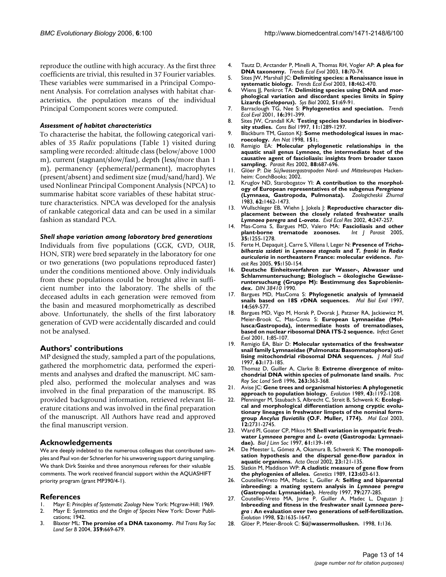reproduce the outline with high accuracy. As the first three coefficients are trivial, this resulted in 37 Fourier variables. These variables were summarised in a Principal Component Analysis. For correlation analyses with habitat characteristics, the population means of the individual Principal Component scores were computed.

## *Assessment of habitat characteristics*

To characterise the habitat, the following categorical variables of 35 *Radix* populations (Table 1) visited during sampling were recorded: altitude class (below/above 1000 m), current (stagnant/slow/fast), depth (less/more than 1 m), permanency (ephemeral/permanent), macrophytes (present/absent) and sediment size (mud/sand/hard). We used Nonlinear Principal Component Analysis (NPCA) to summarise habitat score variables of these habitat structure characteristics. NPCA was developed for the analysis of rankable categorical data and can be used in a similar fashion as standard PCA.

## *Shell shape variation among laboratory bred generations*

Individuals from five populations (GGK, GVD, OUR, HON, STR) were bred separately in the laboratory for one or two generations (two populations reproduced faster) under the conditions mentioned above. Only individuals from these populations could be brought alive in sufficient number into the laboratory. The shells of the deceased adults in each generation were removed from the basin and measured morphometrically as described above. Unfortunately, the shells of the first laboratory generation of GVD were accidentally discarded and could not be analysed.

## **Authors' contributions**

MP designed the study, sampled a part of the populations, gathered the morphometric data, performed the experiments and analyses and drafted the manuscript. MC sampled also, performed the molecular analyses and was involved in the final preparation of the manuscript. BS provided background information, retrieved relevant literature citations and was involved in the final preparation of the manuscript. All Authors have read and approved the final manuscript version.

## **Acknowledgements**

We are deeply indebted to the numerous colleagues that contributed samples and Paul von der Schnerlen for his unwavering support during sampling. We thank Dirk Steinke and three anonymous referees for their valuable comments. The work received financial support within the AQUASHIFT priority program (grant MP390/4-1).

## **References**

- 1. Mayr E: *Principles of Systematic Zoology* New York: Mcgraw-Hill; 1969. 2. Mayr E: *Systematics and the Origin of Species* New York: Dover Publi-
- cations; 1942.
- 3. Blaxter ML: **The promise of a DNA taxonomy.** *Phil Trans Roy Soc Lond Ser B* 2004, **359:**669-679.
- 4. Tautz D, Arctander P, Minelli A, Thomas RH, Vogler AP: **A plea for DNA taxonomy.** *Trends Ecol Evol* 2003, **18:**70-74.
- 5. Sites JW, Marshall JC: **Delimiting species: a Renaissance issue in systematic biology.** *Trends Ecol Evol* 2003, **18:**462-470.
- 6. Wiens JJ, Penkrot TA: **Delimiting species using DNA and morphological variation and discordant species limits in Spiny Lizards (***Sceloporus***).** *Sys Biol* 2002, **51:**69-91.
- 7. Barraclough TG, Nee S: **[Phylogenetics and speciation.](http://www.ncbi.nlm.nih.gov/entrez/query.fcgi?cmd=Retrieve&db=PubMed&dopt=Abstract&list_uids=11403872)** *Trends Ecol Evol* 2001, **16:**391-399.
- 8. Sites JW, Crandall KA: **Testing species boundaries in biodiversity studies.** *Cons Biol* 1997, **11:**1289-1297.
- 9. Blackburn TM, Gaston KJ: **Some methodological issues in macroecology.** *Am Nat* 1998, **151:**.
- 10. Remigio EA: **Molecular phylogenetic relationships in the aquatic snail genus** *Lymnaea***, the intermediate host of the causative agent of fascioliasis: insights from broader taxon sampling.** *Parasit Res* 2002, **88:**687-696.
- 11. Glöer P: *Die Sü*β*wassergastropoden Nord- und Mitteleuropas* Hackenheim: ConchBooks; 2002.
- 12. Kruglov ND, Starobogatov YI: **A contribution to the morphology of European representatives of the subgenus** *Peregriana* **(Lymnaea, Gastropoda, Pulmonata).** *Zoologicheskii Zhurnal* 1983, **62:**1462-1473.
- 13. Wullschleger EB, Wiehn J, Jokela J: **Reproductive character displacement between the closely related freshwater snails** *Lymnaea peregra* **and** *L-ovata***.** *Evol Ecol Res* 2002, **4:**247-257.
- 14. Mas-Coma S, Bargues MD, Valero MA: **Fascioliasis and other** plant-borne trematode zoonoses. **35:**1255-1278.
- 15. Ferte H, Depaquit J, Carre S, Villena I, Leger N: **Presence of** *Trichobilharzia szidati* **in** *Lymnaea stagnalis* **and** *T. franki* **in** *Radix auricularia* **in northeastern France: molecular evidence.** *Parasit Res* 2005, **95:**150-154.
- 16. **Deutsche Einheitsverfahren zur Wasser-, Abwasser und Schlammuntersuchung; Biologisch – ökologische Gewässeruntersuchung (Gruppe M): Bestimmung des Saprobienindex.** *DIN 38410* 1990.
- 17. Bargues MD, MasComa S: **[Phylogenetic analysis of lymnaeid](http://www.ncbi.nlm.nih.gov/entrez/query.fcgi?cmd=Retrieve&db=PubMed&dopt=Abstract&list_uids=9159934) [snails based on 18S rDNA sequences.](http://www.ncbi.nlm.nih.gov/entrez/query.fcgi?cmd=Retrieve&db=PubMed&dopt=Abstract&list_uids=9159934)** *Mol Biol Evol* 1997, **14:**569-577.
- 18. Bargues MD, Vigo M, Horak P, Dvorak J, Patzner RA, Jackiewicz M, Meier-Brook C, Mas-Coma S: **[European Lymnaeidae \(Mol](http://www.ncbi.nlm.nih.gov/entrez/query.fcgi?cmd=Retrieve&db=PubMed&dopt=Abstract&list_uids=12798024)[lusca:Gastropoda\), intermediate hosts of trematodiases,](http://www.ncbi.nlm.nih.gov/entrez/query.fcgi?cmd=Retrieve&db=PubMed&dopt=Abstract&list_uids=12798024) [based on nuclear ribosomal DNA ITS-2 sequence.](http://www.ncbi.nlm.nih.gov/entrez/query.fcgi?cmd=Retrieve&db=PubMed&dopt=Abstract&list_uids=12798024)** *Infect Genet Evol* 2001, **1:**85-107.
- 19. Remigio EA, Blair D: **Molecular systematics of the freshwater snail family Lymnaeidae (Pulmonata: Basommatophora) utilising mitochondrial ribosomal DNA sequences.** *J Moll Stud* 1997, **63:**173-185.
- 20. Thomaz D, Guiller A, Clarke B: **Extreme divergence of mitochondrial DNA within species of pulmonate land snails.** *Proc Roy Soc Lond SerB* 1996, **263:**363-368.
- 21. Avise JC: **Gene trees and organismal histories: A phylogenetic approach to population biology.** *Evolution* 1989, **43:**1192-1208.
- 22. Pfenninger M, Staubach S, Albrecht C, Streit B, Schwenk K: **Ecological and morphological differentiation among cryptic evolutionary lineages in freshwater limpets of the nominal formgroup** *Ancylus fluviatilis* **[\(O.F. Muller, 1774\).](http://www.ncbi.nlm.nih.gov/entrez/query.fcgi?cmd=Retrieve&db=PubMed&dopt=Abstract&list_uids=12969476)** *Mol Ecol* 2003, **12:**2731-2745.
- 23. Ward PI, Goater CP, Mikos M: **Shell variation in sympatric freshwater** *Lymnaea peregra* **and** *L- ovata* **(Gastropoda: Lymnaeidae).** *Biol J Linn Soc* 1997, **61:**139-149.
- 24. De Meester L, Gómez A, Okamura B, Schwenk K: **The monopolisation hypothesis and the dispersal gene-flow paradox in aquatic organisms.** *Acta Oecol* 2002, **23:**121-135.
- 25. Slatkin M, Maddison WP: **[A cladistic measure of gene flow from](http://www.ncbi.nlm.nih.gov/entrez/query.fcgi?cmd=Retrieve&db=PubMed&dopt=Abstract&list_uids=2599370) [the phylogenies of alleles.](http://www.ncbi.nlm.nih.gov/entrez/query.fcgi?cmd=Retrieve&db=PubMed&dopt=Abstract&list_uids=2599370)** *Genetics* 1989, **123:**603-613.
- 26. CoutellecVreto MA, Madec L, Guiller A: **Selfing and biparental inbreeding: a mating system analysis in** *Lymnaea peregra* **(Gastropoda: Lymnaeidae).** *Heredity* 1997, **79:**277-285.
- 27. Coutellec-Vreto MA, Jarne P, Guiller A, Madec L, Daguzan J: **Inbreeding and fitness in the freshwater snail** *Lymnaea peregra* **: An evaluation over two generations of self-fertilization.** *Evolution* 1998, **52:**1635-1647.
- 28. Glöer P, Meier-Brook C: **Sü**β**wassermollusken.** 1998, **1:**136.